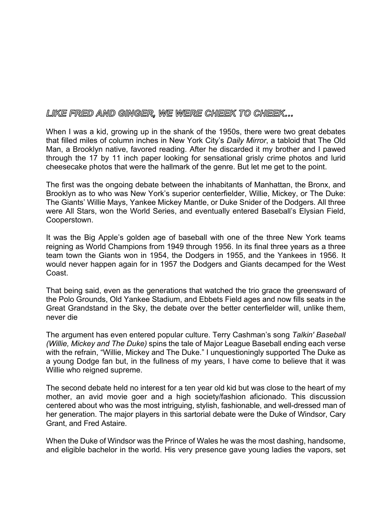## LIKE FRED AND GINGER, WE WERE CHEEK TO CHEEK...

When I was a kid, growing up in the shank of the 1950s, there were two great debates that filled miles of column inches in New York City's *Daily Mirror*, a tabloid that The Old Man, a Brooklyn native, favored reading. After he discarded it my brother and I pawed through the 17 by 11 inch paper looking for sensational grisly crime photos and lurid cheesecake photos that were the hallmark of the genre. But let me get to the point.

The first was the ongoing debate between the inhabitants of Manhattan, the Bronx, and Brooklyn as to who was New York's superior centerfielder, Willie, Mickey, or The Duke: The Giants' Willie Mays, Yankee Mickey Mantle, or Duke Snider of the Dodgers. All three were All Stars, won the World Series, and eventually entered Baseball's Elysian Field, Cooperstown.

It was the Big Apple's golden age of baseball with one of the three New York teams reigning as World Champions from 1949 through 1956. In its final three years as a three team town the Giants won in 1954, the Dodgers in 1955, and the Yankees in 1956. It would never happen again for in 1957 the Dodgers and Giants decamped for the West Coast.

That being said, even as the generations that watched the trio grace the greensward of the Polo Grounds, Old Yankee Stadium, and Ebbets Field ages and now fills seats in the Great Grandstand in the Sky, the debate over the better centerfielder will, unlike them, never die

The argument has even entered popular culture. Terry Cashman's song *Talkin' Baseball (Willie, Mickey and The Duke)* spins the tale of Major League Baseball ending each verse with the refrain, "Willie, Mickey and The Duke." I unquestioningly supported The Duke as a young Dodge fan but, in the fullness of my years, I have come to believe that it was Willie who reigned supreme.

The second debate held no interest for a ten year old kid but was close to the heart of my mother, an avid movie goer and a high society/fashion aficionado. This discussion centered about who was the most intriguing, stylish, fashionable, and well-dressed man of her generation. The major players in this sartorial debate were the Duke of Windsor, Cary Grant, and Fred Astaire.

When the Duke of Windsor was the Prince of Wales he was the most dashing, handsome, and eligible bachelor in the world. His very presence gave young ladies the vapors, set